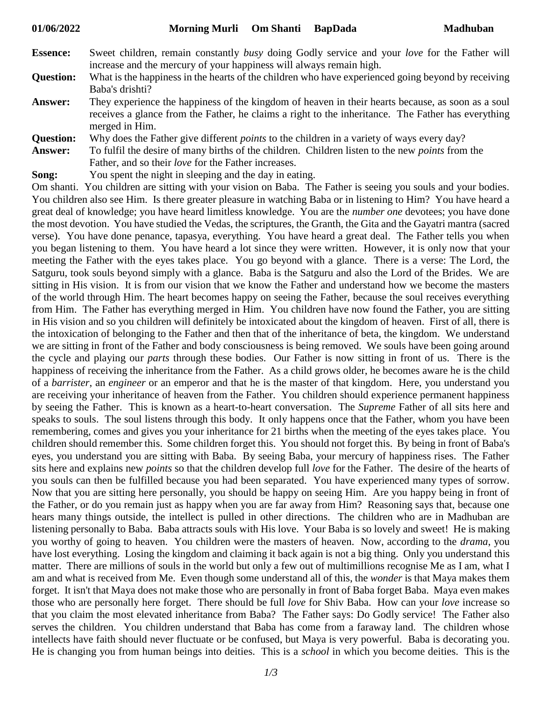| <b>Essence:</b> | Sweet children, remain constantly busy doing Godly service and your love for the Father will |
|-----------------|----------------------------------------------------------------------------------------------|
|                 | increase and the mercury of your happiness will always remain high.                          |

- **Question:** What is the happiness in the hearts of the children who have experienced going beyond by receiving Baba's drishti?
- **Answer:** They experience the happiness of the kingdom of heaven in their hearts because, as soon as a soul receives a glance from the Father, he claims a right to the inheritance. The Father has everything merged in Him.
- **Question:** Why does the Father give different *points* to the children in a variety of ways every day?
- **Answer:** To fulfil the desire of many births of the children. Children listen to the new *points* from the Father, and so their *love* for the Father increases.
- **Song:** You spent the night in sleeping and the day in eating.

Om shanti. You children are sitting with your vision on Baba. The Father is seeing you souls and your bodies. You children also see Him. Is there greater pleasure in watching Baba or in listening to Him? You have heard a great deal of knowledge; you have heard limitless knowledge. You are the *number one* devotees; you have done the most devotion. You have studied the Vedas, the scriptures, the Granth, the Gita and the Gayatri mantra (sacred verse). You have done penance, tapasya, everything. You have heard a great deal. The Father tells you when you began listening to them. You have heard a lot since they were written. However, it is only now that your meeting the Father with the eyes takes place. You go beyond with a glance. There is a verse: The Lord, the Satguru, took souls beyond simply with a glance. Baba is the Satguru and also the Lord of the Brides. We are sitting in His vision. It is from our vision that we know the Father and understand how we become the masters of the world through Him. The heart becomes happy on seeing the Father, because the soul receives everything from Him. The Father has everything merged in Him. You children have now found the Father, you are sitting in His vision and so you children will definitely be intoxicated about the kingdom of heaven. First of all, there is the intoxication of belonging to the Father and then that of the inheritance of beta, the kingdom. We understand we are sitting in front of the Father and body consciousness is being removed. We souls have been going around the cycle and playing our *parts* through these bodies. Our Father is now sitting in front of us. There is the happiness of receiving the inheritance from the Father. As a child grows older, he becomes aware he is the child of a *barrister*, an *engineer* or an emperor and that he is the master of that kingdom. Here, you understand you are receiving your inheritance of heaven from the Father. You children should experience permanent happiness by seeing the Father. This is known as a heart-to-heart conversation. The *Supreme* Father of all sits here and speaks to souls. The soul listens through this body. It only happens once that the Father, whom you have been remembering, comes and gives you your inheritance for 21 births when the meeting of the eyes takes place. You children should remember this. Some children forget this. You should not forget this. By being in front of Baba's eyes, you understand you are sitting with Baba. By seeing Baba, your mercury of happiness rises. The Father sits here and explains new *points* so that the children develop full *love* for the Father. The desire of the hearts of you souls can then be fulfilled because you had been separated. You have experienced many types of sorrow. Now that you are sitting here personally, you should be happy on seeing Him. Are you happy being in front of the Father, or do you remain just as happy when you are far away from Him? Reasoning says that, because one hears many things outside, the intellect is pulled in other directions. The children who are in Madhuban are listening personally to Baba. Baba attracts souls with His love. Your Baba is so lovely and sweet! He is making you worthy of going to heaven. You children were the masters of heaven. Now, according to the *drama*, you have lost everything. Losing the kingdom and claiming it back again is not a big thing. Only you understand this matter. There are millions of souls in the world but only a few out of multimillions recognise Me as I am, what I am and what is received from Me. Even though some understand all of this, the *wonder* is that Maya makes them forget. It isn't that Maya does not make those who are personally in front of Baba forget Baba. Maya even makes those who are personally here forget. There should be full *love* for Shiv Baba. How can your *love* increase so that you claim the most elevated inheritance from Baba? The Father says: Do Godly service! The Father also serves the children. You children understand that Baba has come from a faraway land. The children whose intellects have faith should never fluctuate or be confused, but Maya is very powerful. Baba is decorating you. He is changing you from human beings into deities. This is a *school* in which you become deities. This is the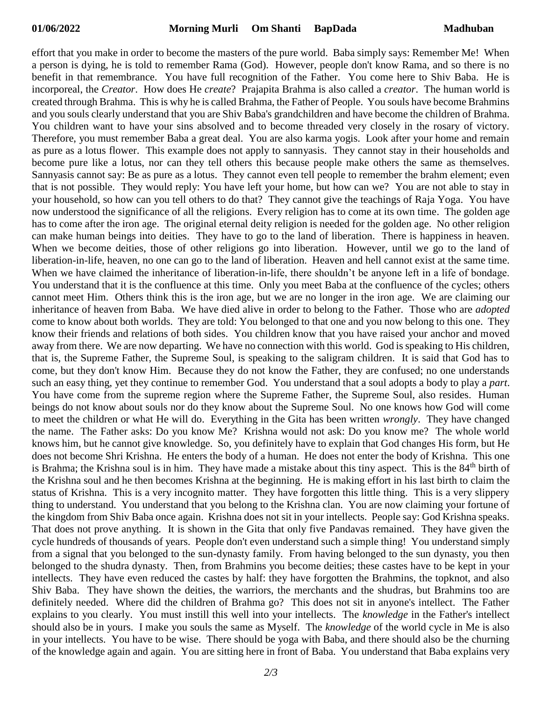effort that you make in order to become the masters of the pure world. Baba simply says: Remember Me! When a person is dying, he is told to remember Rama (God). However, people don't know Rama, and so there is no benefit in that remembrance. You have full recognition of the Father. You come here to Shiv Baba. He is incorporeal, the *Creator*. How does He *create*? Prajapita Brahma is also called a *creator*. The human world is created through Brahma. This is why he is called Brahma, the Father of People. You souls have become Brahmins and you souls clearly understand that you are Shiv Baba's grandchildren and have become the children of Brahma. You children want to have your sins absolved and to become threaded very closely in the rosary of victory. Therefore, you must remember Baba a great deal. You are also karma yogis. Look after your home and remain as pure as a lotus flower. This example does not apply to sannyasis. They cannot stay in their households and become pure like a lotus, nor can they tell others this because people make others the same as themselves. Sannyasis cannot say: Be as pure as a lotus. They cannot even tell people to remember the brahm element; even that is not possible. They would reply: You have left your home, but how can we? You are not able to stay in your household, so how can you tell others to do that? They cannot give the teachings of Raja Yoga. You have now understood the significance of all the religions. Every religion has to come at its own time. The golden age has to come after the iron age. The original eternal deity religion is needed for the golden age. No other religion can make human beings into deities. They have to go to the land of liberation. There is happiness in heaven. When we become deities, those of other religions go into liberation. However, until we go to the land of liberation-in-life, heaven, no one can go to the land of liberation. Heaven and hell cannot exist at the same time. When we have claimed the inheritance of liberation-in-life, there shouldn't be anyone left in a life of bondage. You understand that it is the confluence at this time. Only you meet Baba at the confluence of the cycles; others cannot meet Him. Others think this is the iron age, but we are no longer in the iron age. We are claiming our inheritance of heaven from Baba. We have died alive in order to belong to the Father. Those who are *adopted* come to know about both worlds. They are told: You belonged to that one and you now belong to this one. They know their friends and relations of both sides. You children know that you have raised your anchor and moved away from there. We are now departing. We have no connection with this world. God is speaking to His children, that is, the Supreme Father, the Supreme Soul, is speaking to the saligram children. It is said that God has to come, but they don't know Him. Because they do not know the Father, they are confused; no one understands such an easy thing, yet they continue to remember God. You understand that a soul adopts a body to play a *part*. You have come from the supreme region where the Supreme Father, the Supreme Soul, also resides. Human beings do not know about souls nor do they know about the Supreme Soul. No one knows how God will come to meet the children or what He will do. Everything in the Gita has been written *wrongly*. They have changed the name. The Father asks: Do you know Me? Krishna would not ask: Do you know me? The whole world knows him, but he cannot give knowledge. So, you definitely have to explain that God changes His form, but He does not become Shri Krishna. He enters the body of a human. He does not enter the body of Krishna. This one is Brahma; the Krishna soul is in him. They have made a mistake about this tiny aspect. This is the 84<sup>th</sup> birth of the Krishna soul and he then becomes Krishna at the beginning. He is making effort in his last birth to claim the status of Krishna. This is a very incognito matter. They have forgotten this little thing. This is a very slippery thing to understand. You understand that you belong to the Krishna clan. You are now claiming your fortune of the kingdom from Shiv Baba once again. Krishna does not sit in your intellects. People say: God Krishna speaks. That does not prove anything. It is shown in the Gita that only five Pandavas remained. They have given the cycle hundreds of thousands of years. People don't even understand such a simple thing! You understand simply from a signal that you belonged to the sun-dynasty family. From having belonged to the sun dynasty, you then belonged to the shudra dynasty. Then, from Brahmins you become deities; these castes have to be kept in your intellects. They have even reduced the castes by half: they have forgotten the Brahmins, the topknot, and also Shiv Baba. They have shown the deities, the warriors, the merchants and the shudras, but Brahmins too are definitely needed. Where did the children of Brahma go? This does not sit in anyone's intellect. The Father explains to you clearly. You must instill this well into your intellects. The *knowledge* in the Father's intellect should also be in yours. I make you souls the same as Myself. The *knowledge* of the world cycle in Me is also in your intellects. You have to be wise. There should be yoga with Baba, and there should also be the churning of the knowledge again and again. You are sitting here in front of Baba. You understand that Baba explains very